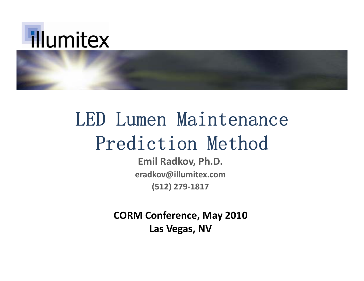

# LED Lumen Maintenance Prediction Method

**E il m R dk <sup>a</sup> ov, Ph D. . eradkov@illumitex.com (512) 279 ‐1817**

**CORM Conference, May 2010 Las Vegas , NV**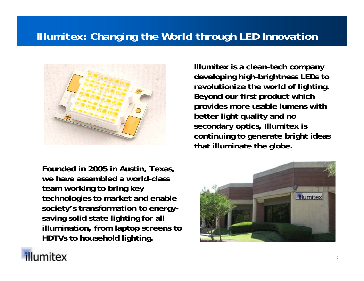#### *Illumitex: Changing the World through LED Innovation*



**Founded in 2005 in Austin, Texas, we have assembled a world-class team working to bring key technologies to market and enable society's transformation to energysaving solid state lighting for all illumination from laptop screens to illumination, screens HDTVs to household lighting.**

**Illumitex is a clean-tech company developing high-brightness LEDs to revolutionize the world of lighting lighting. Beyond our first product which provides more usable lumens with better light quality and no second ll ary optics, Illumitex is continuing to generate bright ideas that illuminate the globe.**



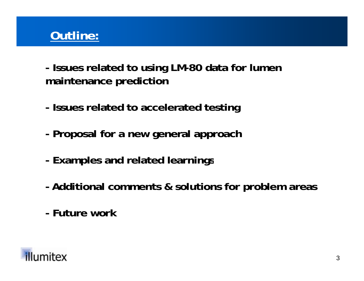#### **Outline:**

**- Issues related to using LM-80 data for lumen maintenance prediction**

- **- Issues related to accelerated testing**
- **- Proposal for a new general approach**
- **-Examples and related learnings**
- **- Additional comments & solutions for problem areas**
- **- Future work**

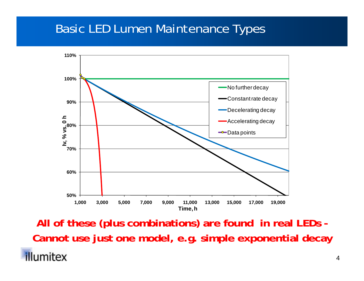#### *Basic LED Lumen Maintenance Types*



All of these (plus combinations) are found in real LEDs -**Cannot use just one model, e.g. simple exponential decayillumitex**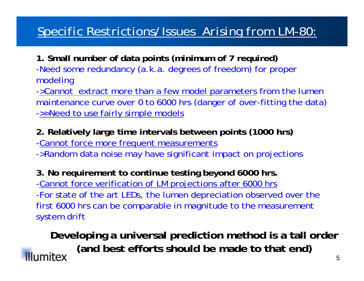#### *Specific Restrictions/Issues Arising from LM-80:*

**1. Small number of data points (minimum of 7 required)** -Need some redundancy (a.k.a. degrees of freedom) for proper modeling

->Cannot extract more than a few model parameters from the lumen maintenance curve over 0 to 6000 hrs (danger of over-fitting the data) ->>Need to use fairly simple models

**2. Relatively large time intervals between points (1000 hrs)** -Cannot force more frequent measurements ->Random data noise may have significant impact on projections

**3. No requirement to continue testing beyond 6000 hrs.** -Cannot force verification of LM projections after 6000 hrs -For state of the art LEDs, the lumen depreciation observed over the first 6000 hrs can be comparable in magnitude to the measurement system drift

**Developing a universal prediction method is a tall order (and best efforts should be made to that end)illumitex** 5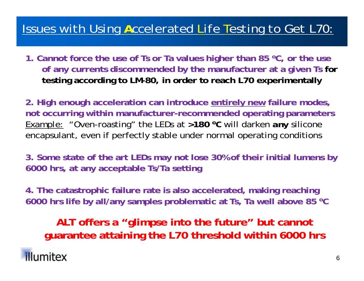### *Issues with Using Accelerated Life Testing to Get L70:*

**1. Cannot force the use of Ts or Ta values higher than 85 °C, or the use of any currents discommended by the manufacturer at a given Ts for testing according to LM-80, in order to reach L70 experimentally**

**2. High enough acceleration can introduce entirely new failure modes, not occurring within manufacturer-recommended operating parameters** Example: "Oven-roasting" the LEDs at >180 <sup>o</sup>C will darken *any* silicone encapsulant, even if perfectly stable under normal operating conditions

**3 Some state of the art LEDs may not lose 30% of their initial lumens by 3. 6000 hrs, at any acceptable Ts/Ta setting**

**4. p ,g g The catastrophic failure rate is also accelerated, making reaching 6000 hrs life by all/any samples problematic at Ts, Ta well above 85 oC**

**ALT offers a "glimpse into the future" but cannot guarantee attaining the L70 threshold within 6000 hrs**

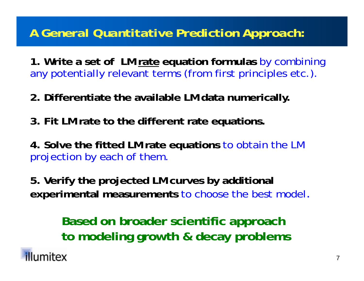#### *A General Quantitative Prediction Approach:*

**1. Write a set of LM rate equation formulas** by combining any potentially relevant terms (from first principles etc.).

- **2. Differentiate the available LM data numerically.**
- **3. Fit LM rate to the different rate equations.**
- **4. Solve the fitted LM rate equations** to obtain the LM projection by each of them.
- **5. Verify the projected LM curves by additional experimental measurements** to choose the best model.

**Based on broader scientific approach to modeling growth & decay problems** 

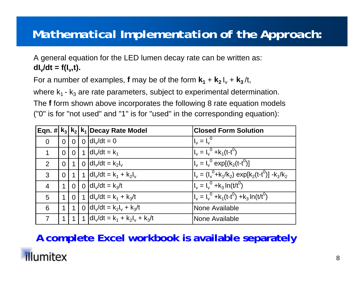#### *Mathematical Implementation of the Approach:*

A general equation for the LED lumen decay rate can be written as: **dI v/dt = f(I v,t).**

For a number of examples, **f** may be of the form  $\mathbf{k}_1 + \mathbf{k}_2 \, \mathsf{I_v} + \mathbf{k}_3 / \mathsf{t},$ 

where  $\mathsf{k}_\mathsf{1}$  -  $\mathsf{k}_\mathsf{3}$  are rate parameters, subject to experimental determination.

The **f** form shown above incorporates the following 8 rate equation models ("0" is for "not used" and "1" is for "used" in the corresponding equation):

|                |                |                 | $\boxed{\mathsf{Eqn.}}$ # $\ket{\mathsf{k}_3\mathsf{k}_2\mathsf{k}_1\mathsf{ Decay}}$ Rate Model | <b>Closed Form Solution</b>                                                                       |
|----------------|----------------|-----------------|--------------------------------------------------------------------------------------------------|---------------------------------------------------------------------------------------------------|
| $\overline{0}$ | $\overline{0}$ | $\overline{0}$  | $0 \,$ dl $\sqrt{dt} = 0$                                                                        | $I_v = I_v^0$                                                                                     |
| 1              | $\overline{0}$ | $\overline{0}$  | 1 $ dl_y/dt  = k_1$                                                                              | $I_v = I_v^0 + k_1(t-t^0)$                                                                        |
| 2              | $\overline{0}$ |                 | 0 $\frac{dI_v}{dt} = k_2I_v$                                                                     | $I_v = I_v^0$ exp[(k <sub>2</sub> (t-t <sup>0</sup> )]                                            |
| 3              | $\overline{0}$ |                 | 1 dl <sub>v</sub> /dt = $k_1 + k_2 l_v$                                                          | $I_v = (I_v^0 + k_1/k_2)$ exp[k <sub>2</sub> (t-t <sup>0</sup> )] -k <sub>1</sub> /k <sub>2</sub> |
| $\overline{4}$ | $\mathbf 1$    | $\overline{0}$  | 0 $\frac{dI_y}{dt} = k_3/t$                                                                      | $\overline{I_v} = I_v^0 + k_3 \ln(t/t^0)$                                                         |
| 5              | $\mathbf 1$    | 10 <sup>1</sup> | 1 dl <sub>v</sub> /dt = $k_1 + k_3/t$                                                            | $I_v = I_v^0 + k_1(t-t^0) + k_3 \ln(t/t^0)$                                                       |
| 6              | 1 <sup>1</sup> |                 | 0 $ dl_v/dt = k_2l_v + k_3/t$                                                                    | None Available                                                                                    |
| $\overline{7}$ | 1 <sup>1</sup> |                 | 1 dl <sub>v</sub> /dt = $k_1 + k_2l_v + k_3/t$                                                   | None Available                                                                                    |

#### **A complete Excel workbook is available separately**

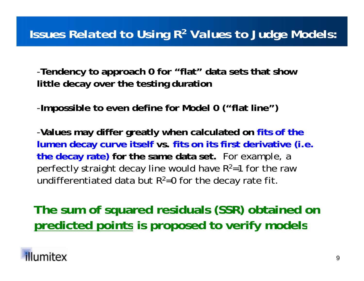#### *Issues Related to Using R 2 Values to Judge Models:*

-**Tendency to approach 0 for "flat" data sets that show l**ittle decay over the testing duration

-**Impossible to even define for Model 0 ("flat line")**

-**Values may differ greatly when calculated on fits of the lumen decay curve itself vs. fits on its first derivative (i.e. the decay rate) for the same data set.** For example, a perfectly straight decay line would have R 2=1 for the raw undifferentiated data but R $^{2}$ =0 for the decay rate fit.

**The sum of squared residuals (SSR) obtained on predicted points is proposed to verify models**

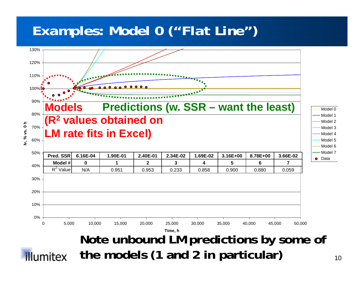## *Examples: Model 0 ("Flat Line")*



**the models (1 and 2 in particular)**illumitex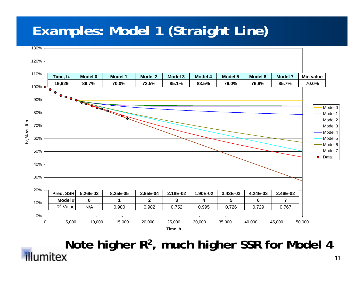# *Examples: Model 1 (Straight Line)*



**Note higher R 2, much higher SSR for Model 4**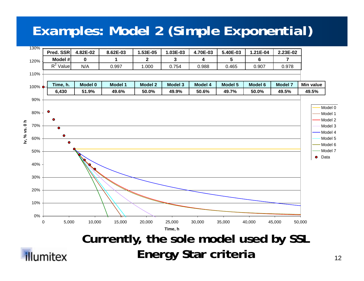# *Examples: Model 2 (Simple Exponential)*

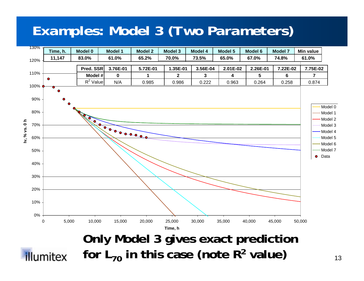# *Examples: Model 3 (Two Parameters)*

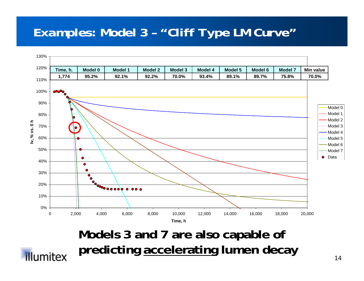#### *Examples: Model 3 – "Cliff Type LM Curve"*



**Models 3 and 7 are also capable of predicting accelerating lumen decay**

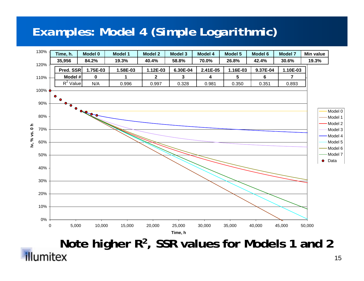#### *Examples: Model 4 (Simple Logarithmic)*



**Note higher R 2, SSR values for Models 1 and 2**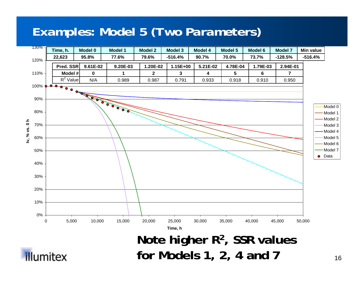#### *Examples: Model 5 (Two Parameters)*

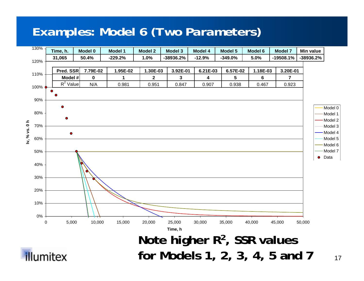#### *Examples: Model 6 (Two Parameters)*

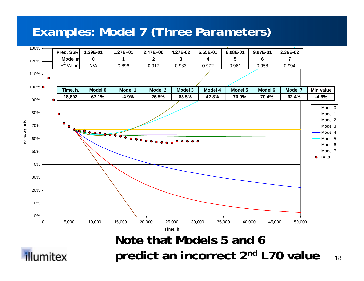#### *Examples: Model 7 (Three Parameters)*





18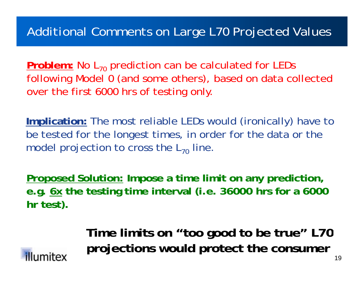#### *Additional Comments on Large L70 Projected Values*

**Problem:** No L70 prediction can be calculated for LEDs following Model 0 (and some others), based on data collected over the first 6000 hrs of testing only

**Implication:** The most reliable LEDs would (ironically) have to be tested for the longest times, in order for the data or the model projection to cross the  $\mathsf{L}_{70}$  line.

**Proposed Solution: Impose a time limit on any prediction, e.g. 6x the testing time interval (i.e. 36000 hrs for a 6000 hr test).**

> **Ti li it "t d t b t " L70 Time mit s on "too good o**  projections would protect the consumer

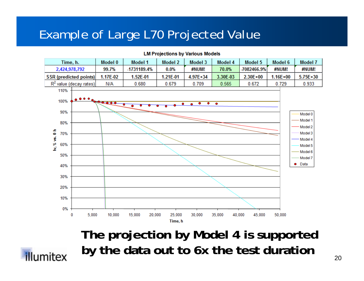#### *Example of Large L70 Projected Value*



**LM Projections by Various Models** 

**The projection by Model 4 is supported by the data out to 6x the test duration** 

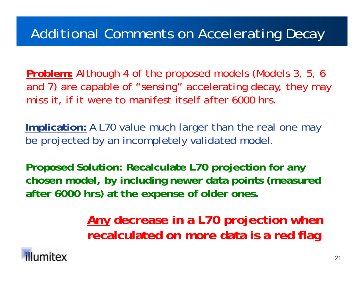# *Additional Comments on Accelerating Decay*

**Problem:** Although 4 of the proposed models (Models 3, 5, 6 and 7) are capable of "sensing" accelerating decay, they may miss it, if it were to manifest itself after 6000 hrs.

**Implication:** A L70 value much larger than the real one may be projected by an incompletely validated model.

**Proposed Solution: Recalculate L70 projection for any chosen model, by including newer data points (measured after 6000 hrs) at the expense of older ones .**

> **Any decrease in a L70 projection when recalculated on more data is a red flag**

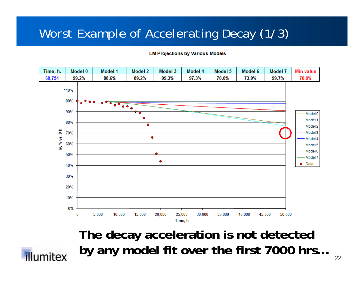#### *Worst Example of Accelerating Decay (1/3)*

**LM Projections by Various Models** 



**The decay acceleration is not detected by any model fit over the first 7000 hrs…**

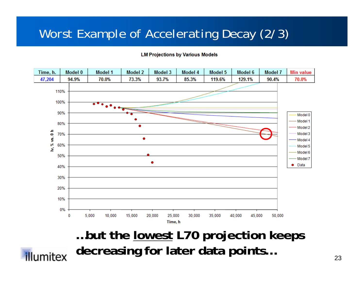#### *Worst Example of Accelerating Decay (2/3)*

**LM Projections by Various Models** 



**…but the lowest L70 projection keeps decreasing for later data points…** 

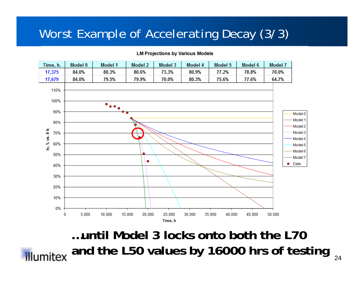#### *Worst Example of Accelerating Decay (3/3)*

#### **LM Projections by Various Models**



**…until Model 3 locks onto both the L70and the L50 values by 16000 hrs of testing**illumitex 24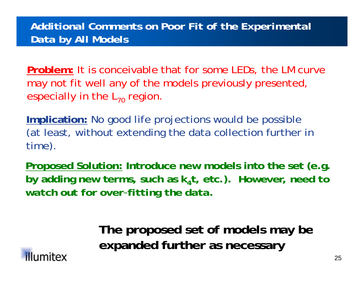#### *Additional Comments on Poor Fit of the Experimental Data by All Models*

**Problem:** It is conceivable that for some LEDs, the LM curve may not fit well any of the models previously presented, especially in the  $\mathsf{L}_{70}$  region.

**Implication:** No good life projections would be possible (at least, without extending the data collection further in time).

**Proposed Solution: Introduce new models into the set (e.g. by adding new terms, such as k <sup>4</sup>t, etc.).** *However, need to watch out for over -fitting the data .*

> **The proposed set of models may be expanded further as necessary**

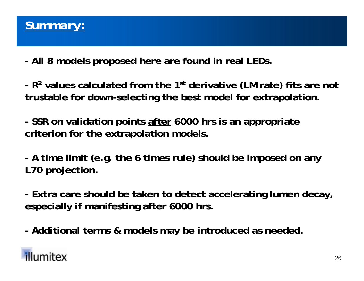

**- All 8 models proposed here are found in real LEDs.**

**- R2 values calculated from the 1st derivative (LM rate) fits are not trustable for down-selecting the best model for extrapolation.**

**- SSR on validation points after 6000 hrs is an appropriate criterion for the extrapolation models.**

**-A time limit (e.g. the 6 times rule) should be imposed on any L70 projection.** 

**- Extra care should be taken to detect accelerating lumen decay decay, especially if manifesting after 6000 hrs.**

**Additional terms & models may be introduced as needed - .**

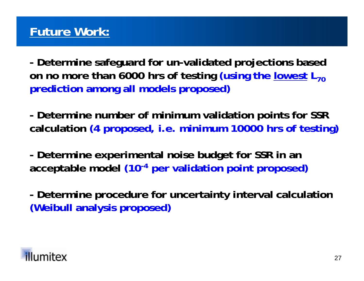**- Determine safeguard for un-validated projections based on no more than 6000 hrs of testing (using the lowest L<sub>70</sub> prediction among all models proposed)**

**- Determine number of minimum validation points for SSR calculation (4 proposed, i.e. minimum 10000 hrs of testing)**

**- Determine experimental noise budget for SSR in an acceptable model (10-4 per validation point proposed)**

**- Determine procedure for uncertainty interval calculation (Weibull analysis proposed)**